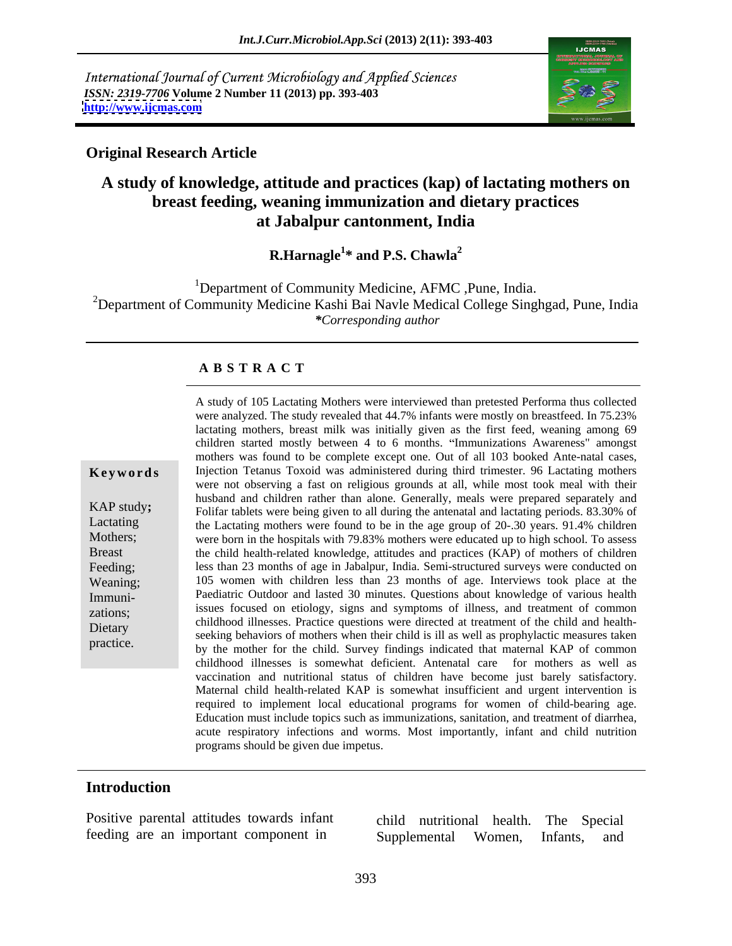International Journal of Current Microbiology and Applied Sciences *ISSN: 2319-7706* **Volume 2 Number 11 (2013) pp. 393-403 <http://www.ijcmas.com>**



#### **Original Research Article**

### **A study of knowledge, attitude and practices (kap) of lactating mothers on breast feeding, weaning immunization and dietary practices at Jabalpur cantonment, India**

#### **R.Harnagle<sup>1</sup>\* and P.S. Chawla<sup>2</sup> \* and P.S. Chawla<sup>2</sup>**

<sup>1</sup>Department of Community Medicine, AFMC, Pune, India. <sup>2</sup>Department of Community Medicine Kashi Bai Navle Medical College Singhgad, Pune, India *\*Corresponding author*

#### **A B S T R A C T**

**Keywords** Injection Tetanus Toxoid was administered during third trimester. 96 Lactating mothers KAP study;<br>
Folifar tablets were being given to all during the antenatal and lactating periods. 83.30% of Lactating the Lactating mothers were found to be in the age group of 20-.30 years. 91.4% children Mothers; were born in the hospitals with 79.83% mothers were educated up to high school. To assess Breast the child health-related knowledge, attitudes and practices (KAP) of mothers of children Feeding; less than 23 months of age in Jabalpur, India. Semi-structured surveys were conducted on Weaning; 105 women with children less than 23 months of age. Interviews took place at the Immuni- Paediatric Outdoor and lasted 30 minutes. Questions about knowledge of various health zations; issues focused on etiology, signs and symptoms of illness, and treatment of common and illness. Dietary<br>
seeking behaviors of mothers when their child is ill as well as prophylactic measures taken A study of 105 Lactating Mothers were interviewed than pretested Performa thus collected<br>were analyzed. The study revealed that 44.7% infants were mostly on heastfeed. In 75.23%<br>hactating mothers, breast milk was initially were analyzed. The study revealed that 44.7% infants were mostly on breastfeed. In 75.23% lactating mothers, breast milk was initially given as the first feed, weaning among 69 children started mostly between 4 to 6 months. "Immunizations Awareness" amongst mothers was found to be complete except one. Out of all 103 booked Ante-natal cases, were not observing a fast on religious grounds at all, while most took meal with their husband and children rather than alone. Generally, meals were prepared separately and childhood illnesses. Practice questions were directed at treatment of the child and health by the mother for the child. Survey findings indicated that maternal KAP of common childhood illnesses is somewhat deficient. Antenatal care for mothers as well as vaccination and nutritional status of children have become just barely satisfactory. Maternal child health-related KAP is somewhat insufficient and urgent intervention is required to implement local educational programs for women of child-bearing age. Education must include topics such as immunizations, sanitation, and treatment of diarrhea, acute respiratory infections and worms. Most importantly, infant and child nutrition programs should be given due impetus.

#### **Introduction**

Positive parental attitudes towards infant child nutritional health. The Special

feeding are an important component in Supplemental Women, Infants, and Supplemental Women, Infants, and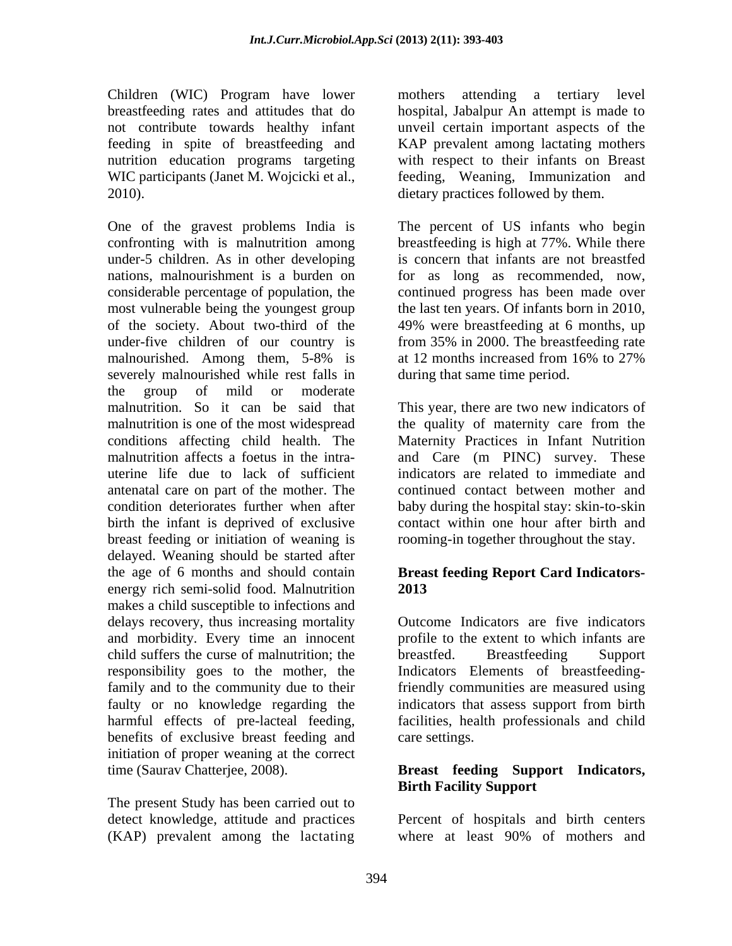Children (WIC) Program have lower mothers attending a tertiary level breastfeeding rates and attitudes that do hospital, Jabalpur An attempt is made to not contribute towards healthy infant unveil certain important aspects of the feeding in spite of breastfeeding and KAP prevalent among lactating mothers nutrition education programs targeting with respect to their infants on Breast WIC participants (Janet M. Wojcicki et al., 2010). dietary practices followed by them.

confronting with is malnutrition among under-5 children. As in other developing nations, malnourishment is a burden on for as long as recommended, now, considerable percentage of population, the continued progress has been made over most vulnerable being the youngest group of the society. About two-third of the 49% were breastfeeding at 6 months, up under-five children of our country is from 35% in 2000. The breastfeeding rate malnourished. Among them, 5-8% is at 12 months increased from 16% to 27% severely malnourished while rest falls in the group of mild or moderate malnutrition. So it can be said that This year, there are two new indicators of malnutrition is one of the most widespread the quality of maternity care from the conditions affecting child health. The Maternity Practices in Infant Nutrition malnutrition affects a foetus in the intra- and Care (m PINC) survey. These uterine life due to lack of sufficient indicators are related to immediate and antenatal care on part of the mother. The continued contact between motherand condition deteriorates further when after baby during the hospital stay: skin-to-skin birth the infant is deprived of exclusive contact within one hour after birth and breast feeding or initiation of weaning is delayed. Weaning should be started after the age of 6 months and should contain **Breast feeding Report Card Indicators** energy rich semi-solid food. Malnutrition 2013 makes a child susceptible to infections and delays recovery, thus increasing mortality and morbidity. Every time an innocent profile to the extent to which infants are child suffers the curse of malnutrition; the breastfed. Breastfeeding Support responsibility goes to the mother, the Indicators Elements of breastfeedingfamily and to the community due to their friendly communities are measured using faulty or no knowledge regarding the indicators that assess support from birth harmful effects of pre-lacteal feeding, facilities, health professionals and child benefits of exclusive breast feeding and initiation of proper weaning at the correct time (Saurav Chatterjee, 2008). **Breast feeding Support Indicators,**

The present Study has been carried out to (KAP) prevalent among the lactating

feeding, Weaning, Immunization and

One of the gravest problems India is The percent of US infants who begin breastfeeding is high at 77%. While there is concern that infants are not breastfed the last ten years. Of infants born in 2010, at 12 months increased from 16% to 27% during that same time period.

rooming-in together throughout the stay.

# **2013**

Outcome Indicators are five indicators breastfed. Breastfeeding Support indicators that assess support from birth care settings.

# **Birth Facility Support**

detect knowledge, attitude and practices Percent of hospitals and birth centers where at least 90% of mothers and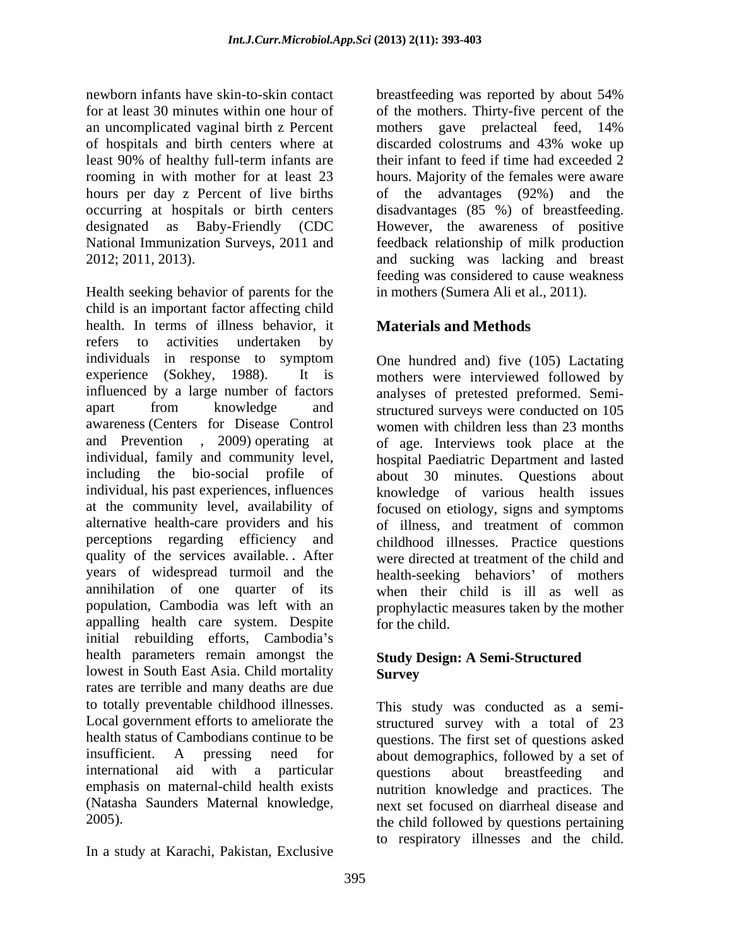newborn infants have skin-to-skin contact breastfeeding was reported by about 54% for at least 30 minutes within one hour of of the mothers. Thirty-five percent of the an uncomplicated vaginal birth z Percent mothers gave prelacteal feed, 14% of hospitals and birth centers where at least 90% of healthy full-term infants are their infant to feed if time had exceeded 2 rooming in with mother for at least 23 hours. Majority of the females were aware hours per day z Percent of live births of the advantages (92%) and the occurring at hospitals or birth centers disadvantages (85 %) of breastfeeding. designated as Baby-Friendly (CDC However, the awareness of positive National Immunization Surveys, 2011 and feedback relationship of milk production 2012; 2011, 2013). and sucking was lacking and breast

Health seeking behavior of parents for the child is an important factor affecting child health. In terms of illness behavior, it refers to activities undertaken by individuals in response to symptom experience (Sokhey, 1988). It is mothers were interviewed followed by influenced by a large number of factors analyses of pretested preformed. Semi apart from knowledge and structured surveys were conducted on 105 awareness (Centers for Disease Control women with children less than 23 months and Prevention , 2009) operating at of age. Interviews took place at the individual, family and community level, including the bio-social profile of about 30 minutes. Questions about individual, his past experiences, influences knowledge of various health issues at the community level, availability of focused on etiology, signs and symptoms alternative health-care providers and his of illness, and treatment of common perceptions regarding efficiency and childhood illnesses. Practice questions quality of the services available. **.** After were directed at treatment of the child and years of widespread turmoil and the health-seeking behaviors' of mothers annihilation of one quarter of its when their child is ill as well as population, Cambodia was left with an prophylactic measures taken by the mother appalling health care system. Despite for the child. initial rebuilding efforts, Cambodia's health parameters remain amongst the lowest in South East Asia. Child mortality **Survey** rates are terrible and many deaths are due to totally preventable childhood illnesses. This study was conducted as a semi- Local government efforts to ameliorate the structured survey with a total of 23 health status of Cambodians continue to be questions. The first set of questions asked insufficient. A pressing need for about demographics, followed by a set of international aid with a particular questions about breastfeeding and emphasis on maternal-child health exists nutrition knowledge and practices. The (Natasha Saunders Maternal knowledge, next set focused on diarrheal disease and the child followed by questions pertaining

In a study at Karachi, Pakistan, Exclusive

breastfeeding was reported by about 54% mothers gave prelacteal feed, 14% discarded colostrums and 43% woke up their infant to feed if time had exceeded 2 feeding was considered to cause weakness in mothers (Sumera Ali et al., 2011).

### **Materials and Methods**

One hundred and) five (105) Lactating hospital Paediatric Department and lasted for the child.

### **Study Design: A Semi-Structured Survey**

questions about breastfeeding and next set focused on diarrheal disease and the child followed by questions pertaining to respiratory illnesses and the child.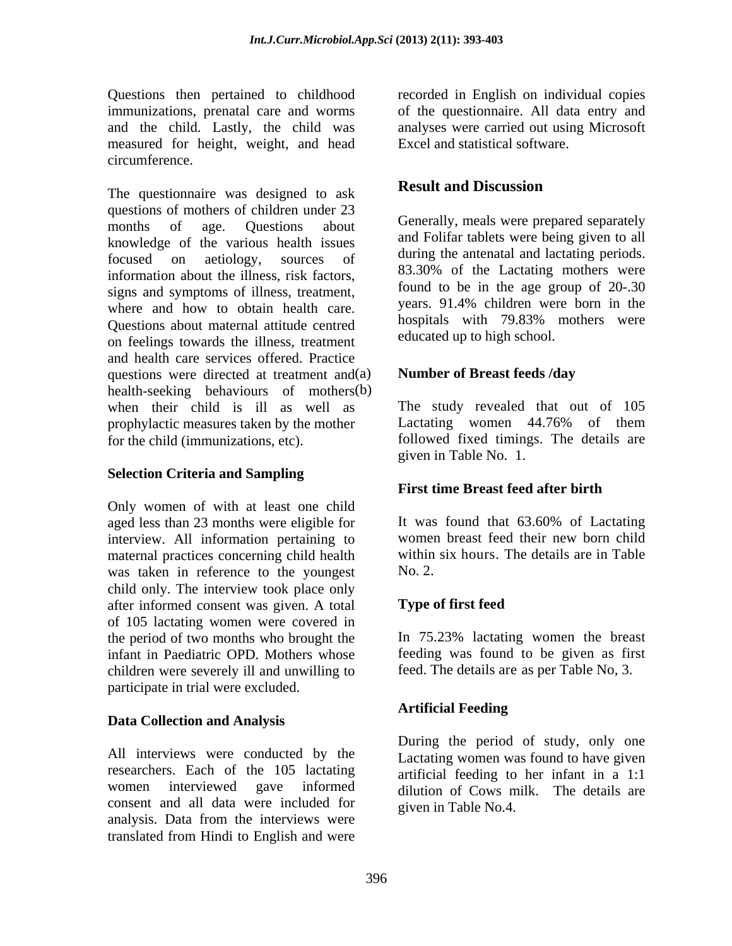Questions then pertained to childhood immunizations, prenatal care and worms of the questionnaire. All data entry and and the child. Lastly, the child was analyses were carried out using Microsoft measured for height, weight, and head circumference.

The questionnaire was designed to ask **Result and Discussion** questions of mothers of children under 23 months of age. Questions about Generally, meals were prepared separately knowledge of the various health issues focused on aetiology, sources of auring the antenatal and lactating periods. information about the illness, risk factors, signs and symptoms of illness, treatment, where and how to obtain health care.<br>
Solutions about meternal attitude control in the hospitals with 79.83% mothers were Questions about maternal attitude centred on feelings towards the illness, treatment and health care services offered. Practice questions were directed at treatment and (a) health-seeking behaviours of mothers(b) when their child is ill as well as The study revealed that out of 105 prophylactic measures taken by the mother Lactating women 44.76% of them for the child (immunizations, etc). followed fixed timings. The details are (b)

#### **Selection Criteria and Sampling**

Only women of with at least one child<br>aged less than 23 months were eligible for It was found that 63.60% of Lactating aged less than 23 months were eligible for interview. All information pertaining to maternal practices concerning child health was taken in reference to the youngest No. 2. child only. The interview took place only after informed consent was given. A total Type of first feed of 105 lactating women were covered in the period of two months who brought the In 75.23% lactating women the breast infant in Paediatric OPD. Mothers whose feeding was found to be given as first children were severely ill and unwilling to participate in trial were excluded.

#### **Data Collection and Analysis**

All interviews were conducted by the researchers. Each of the 105 lactating women interviewed gave informed dilution of Cows milk. The details are consent and all data were included for analysis. Data from the interviews were translated from Hindi to English and were

recorded in English on individual copies Excel and statistical software.

### **Result and Discussion**

and Folifar tablets were being given to all during the antenatal and lactating periods. 83.30% of the Lactating mothers were found to be in the age group of 20-.30 years. 91.4% children were born in the hospitals with 79.83% mothers were educated up to high school.

#### **Number of Breast feeds /day**

Lactating women 44.76% of them given in Table No. 1.

### **First time Breast feed after birth**

It was found that 63.60% of Lactating women breast feed their new born child within six hours. The details are in Table No. 2.

### **Type of first feed**

feed. The details are as per Table No, 3.

### **Artificial Feeding**

During the period of study, only one Lactating women was found to have given artificial feeding to her infant in a 1:1 given in Table No.4.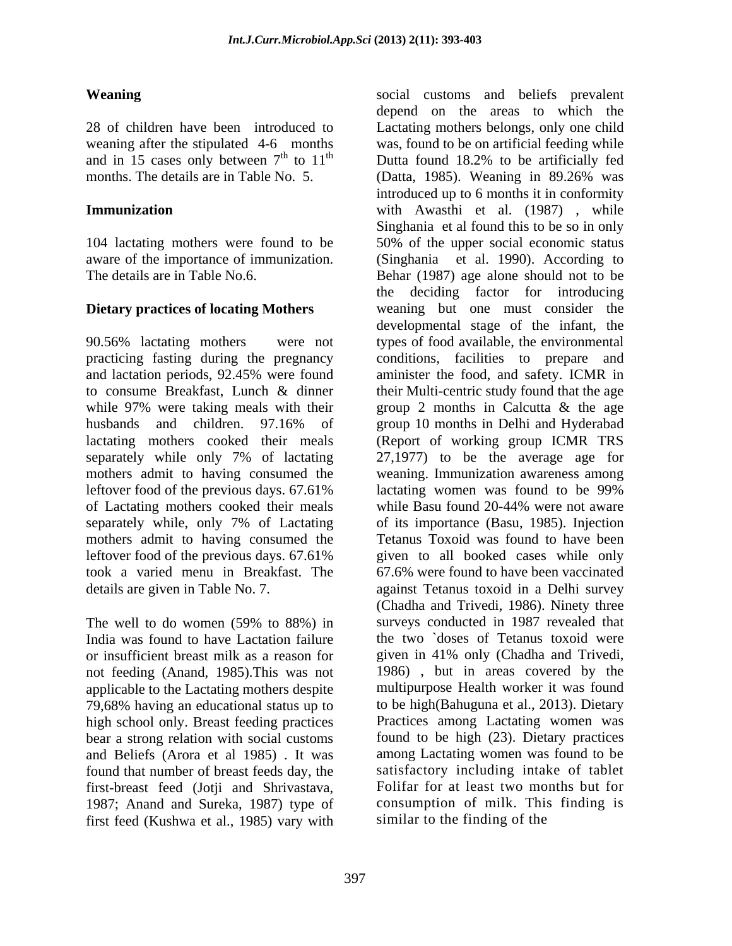months. The details are in Table No. 5. (Datta, 1985). Weaning in 89.26% was

104 lactating mothers were found to be aware of the importance of immunization.

90.56% lactating mothers were not types of food available, the environmental practicing fasting during the pregnancy conditions, facilities to prepare and and lactation periods, 92.45% were found aminister the food, and safety. ICMR in to consume Breakfast, Lunch & dinner while 97% were taking meals with their group 2 months in Calcutta & the age husbands and children. 97.16% of group 10 months in Delhi and Hyderabad lactating mothers cooked their meals (Report of working group ICMR TRS separately while only 7% of lactating 27,1977) to be the average age for mothers admit to having consumed the weaning. Immunization awareness among leftover food of the previous days. 67.61% lactating women was found to be 99% of Lactating mothers cooked their meals while Basu found 20-44% were not aware separately while, only 7% of Lactating mothers admit to having consumed the Tetanus Toxoid was found to have been leftover food of the previous days. 67.61% took a varied menu in Breakfast. The 67.6% were found to have been vaccinated details are given in Table No. 7. against Tetanus toxoid in a Delhi survey

The well to do women (59% to 88%) in not feeding (Anand, 1985).This was not applicable to the Lactating mothers despite 79,68% having an educational status up to high school only. Breast feeding practices bear a strong relation with social customs and Beliefs (Arora et al 1985) . It was found that number of breast feeds day, the first-breast feed (Jotji and Shrivastava, 1987; Anand and Sureka, 1987) type of first feed (Kushwa et al., 1985) vary with

**Weaning** social customs and beliefs prevalent 28 of children have been introduced to Lactating mothers belongs, only one child weaning after the stipulated 4-6 months was, found to be on artificial feeding while and in 15 cases only between  $7<sup>th</sup>$  to  $11<sup>th</sup>$  Dutta found 18.2% to be artificially fed **Immunization Example 20** with Awasthi et al. (1987), while The details are in Table No.6. Behar (1987) age alone should not to be **Dietary practices of locating Mothers** weaning but one must consider the India was found to have Lactation failure the two `doses of Tetanus toxoid were or insufficient breast milk as a reason for given in 41% only (Chadhaand Trivedi, depend on the areas to which the Dutta found 18.2% to be artificially fed (Datta, 1985). Weaning in 89.26% was introduced up to 6 months it in conformity Singhania et al found this to be so in only 50% of the upper social economic status et al. 1990). According to the deciding factor for introducing developmental stage of the infant, the their Multi-centric study found that the age group 10 months in Delhi and Hyderabad lactating women was found to be 99% while Basu found 20-44% were not aware of its importance (Basu, 1985). Injection given to all booked cases while only (Chadha and Trivedi, 1986). Ninety three surveys conducted in 1987 revealed that 1986) , but in areas covered by the multipurpose Health worker it was found to be high(Bahuguna et al., 2013). Dietary Practices among Lactating women was found to be high (23). Dietary practices among Lactating women was found to be satisfactory including intake of tablet Folifar for at least two months but for consumption of milk. This finding is similar to the finding of the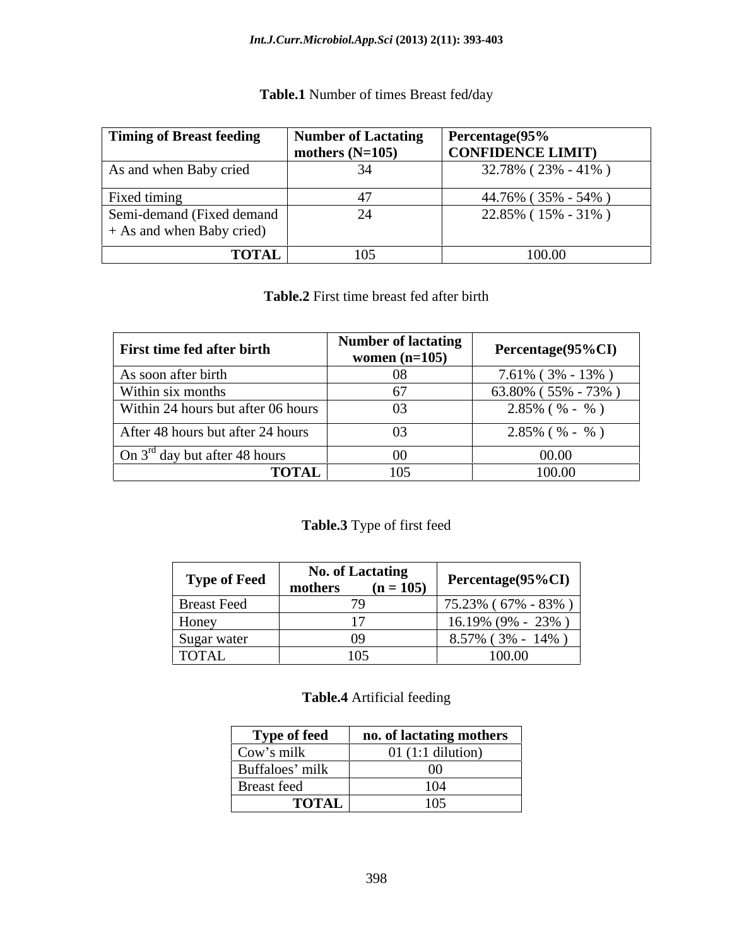#### *Int.J.Curr.Microbiol.App.Sci* **(2013) 2(11): 393-403**

| Timing of Breast feeding                               | Number of Lactating Percentage (95% |                     |
|--------------------------------------------------------|-------------------------------------|---------------------|
|                                                        | mothers $(N=105)$                   | CONFIDENCE LIMIT)   |
| As and when Baby cried                                 |                                     | 32.78% (23% - 41%)  |
| Fixed timing                                           |                                     | 44.76% (35% - 54% ) |
| Semi-demand (Fixed demand<br>+ As and when Baby cried) |                                     | 22.85% (15% - 31%)  |
| <b>TOTAL</b>                                           |                                     | 100.00              |

### **Table.1** Number of times Breast fed**/**day

**Table.2** First time breast fed after birth

| First time fed after birth         | Number of lactating<br>women $(n=105)$ | Percentage(95%CI)        |
|------------------------------------|----------------------------------------|--------------------------|
| As soon after birth                |                                        | $7.61\%$ (3% - 13%)      |
| Within six months                  |                                        | $63.80\%$ (55% - 73%)    |
| Within 24 hours but after 06 hours | 03                                     | $2.85\%$ ( $\%$ - $\%$ ) |
| After 48 hours but after 24 hours  | 03                                     | $2.85\%$ ( $\%$ - $\%$ ) |
| On $3^{rd}$ day but after 48 hours |                                        | 00.00                    |
| <b>TOTAL</b>                       | 105                                    | 100.00                   |

#### **Table.3** Type of first feed

| <b>Type of Feed</b> | <b>No. of Lactating</b><br>$(n = 105)$<br>mothers | Percentage( $95\%$ CI) |
|---------------------|---------------------------------------------------|------------------------|
| <b>Breast Feed</b>  |                                                   | $75.23\%$ (67% - 83%)  |
| Honey               |                                                   | $16.19\%$ (9% - 23%)   |
| Sugar water         |                                                   | $8.57\%$ (3% - 14%)    |
| <b>TOTAL</b>        | 105                                               | 100.00                 |

#### **Table.4** Artificial feeding

| <b>Type of feed</b> | no. of lactating mothers    |
|---------------------|-----------------------------|
| Cow's milk          | $01$ (1:1 dilution)         |
| Buffaloes' milk     |                             |
| Breast feed         |                             |
| <b>TOTAL</b>        | $\sim$ $\sim$ $\sim$<br>10J |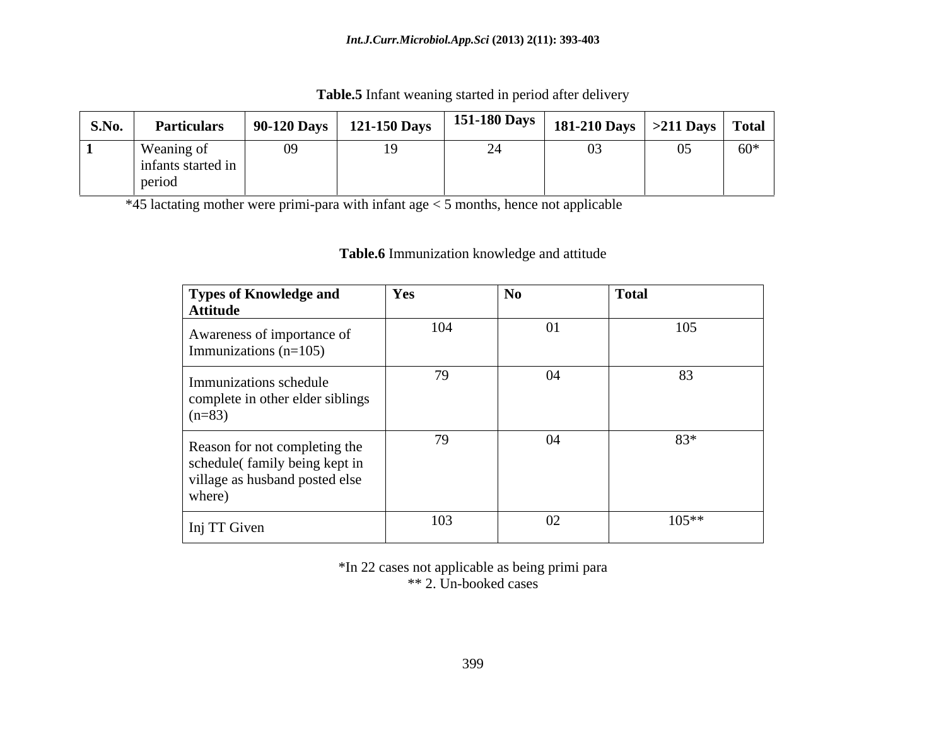| S.No. | <b>Particulars</b>                            | 90-120 Days | 121-150 Days | <b>151-180 Days</b> | <b>181-210 Days</b> | $>211$ Days | <b>Total</b> |
|-------|-----------------------------------------------|-------------|--------------|---------------------|---------------------|-------------|--------------|
|       | Weaning of<br>$\mu$ ants started in<br>period | $\Omega$    | 1Ο.          | $\bigcap$ $\bigcap$ | 03                  |             | $60*$        |

**Table.5** Infant weaning started in period after delivery

\*45 lactating mother were primi-para with infant age < 5 months, hence not applicable

# **Table.6** Immunization knowledge and attitude

| Types of Knowledge and<br><b>Attitude</b>                                                                  | Yes | <b>No</b> | <b>Total</b> |
|------------------------------------------------------------------------------------------------------------|-----|-----------|--------------|
| Awareness of importance of<br>Immunizations $(n=105)$                                                      | 104 | 01        | 105          |
| Immunizations schedule<br>complete in other elder siblings<br>$(n=83)$                                     | 79  | 04        | 83           |
| Reason for not completing the<br>schedule(family being kept in<br>village as husband posted else<br>where) | 79  | 04        | 83*          |
| Inj TT Given                                                                                               | 103 | 02        | $105**$      |

\*In 22 cases not applicable as being primi para \*\* 2. Un-booked cases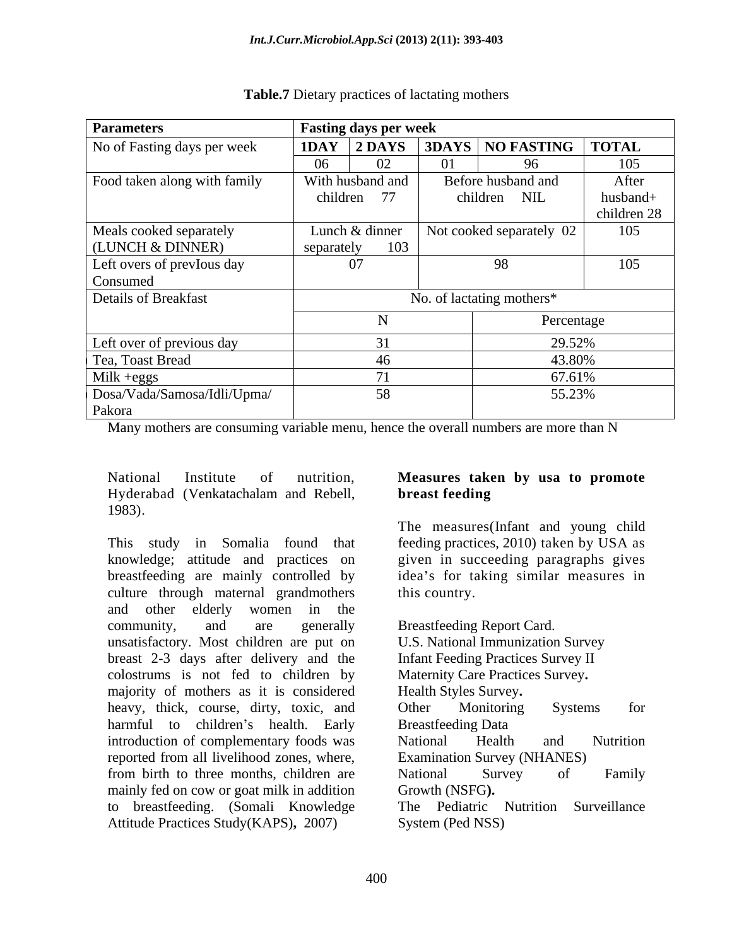| <b>Parameters</b>            | <b>Fasting days per week</b> |                                           |             |
|------------------------------|------------------------------|-------------------------------------------|-------------|
| No of Fasting days per week  |                              | <b>IDAY 2 DAYS 3DAYS NO FASTING TOTAL</b> |             |
|                              | ഹ<br>06                      | 96                                        | 105         |
| Food taken along with family | With husband and             | Before husband and                        | After       |
|                              | children<br>77               | children NIL                              | husband+    |
|                              |                              |                                           | children 28 |
| Meals cooked separately      | Lunch & dinner               | Not cooked separately 02                  | 105         |
| (LUNCH & DINNER)             | 103<br>separately            |                                           |             |
| Left overs of previous day   | 07                           | 98                                        | 105         |
| Consumed                     |                              |                                           |             |
| Details of Breakfast         |                              | No. of lactating mothers*                 |             |
|                              |                              | Percentage                                |             |
| Left over of previous day    |                              | 29.52%                                    |             |
| Tea, Toast Bread             |                              | 43.80%                                    |             |
| Milk +eggs                   |                              | 67.61%                                    |             |
| Dosa/Vada/Samosa/Idli/Upma/  |                              | 55.23%                                    |             |
| Pakora                       |                              |                                           |             |

#### **Table.7** Dietary practices of lactating mothers

Many mothers are consuming variable menu, hence the overall numbers are more than N

National Institute of nutrition, **Measures taken by usa to promote** Hyderabad (Venkatachalam and Rebell, 1983).

This study in Somalia found that feeding practices, 2010) taken by USA as knowledge; attitude and practices on given in succeeding paragraphs gives breastfeeding are mainly controlled by culture through maternal grandmothers this country. and other elderly women in the community, and are generally Breastfeeding Report Card. unsatisfactory. Most children are put on breast 2-3 days after delivery and the colostrums is not fed to children by majority of mothers as it is considered heavy, thick, course, dirty, toxic, and Other Monitoring Systems for harmful to children's health. Early Breastfeeding Data introduction of complementary foods was National Health and Nutrition reported from all livelihood zones, where, from birth to three months, children are National Survey of Family mainly fed on cow or goat milk in addition Growth (NSFG). to breastfeeding. (Somali Knowledge Attitude Practices Study(KAPS)**,** 2007)

# **breast feeding**

The measures(Infant and young child idea's for taking similar measures in this country.

Breastfeeding Report Card.<br>U.S. National Immunization Survey Infant Feeding Practices Survey II Maternity Care Practices Survey**.** Health Styles Survey**.** Other Monitoring Systems for Breastfeeding Data National Health and Nutrition Examination Survey (NHANES) National Survey of Family Growth (NSFG**).** The Pediatric Nutrition Surveillance System (Ped NSS)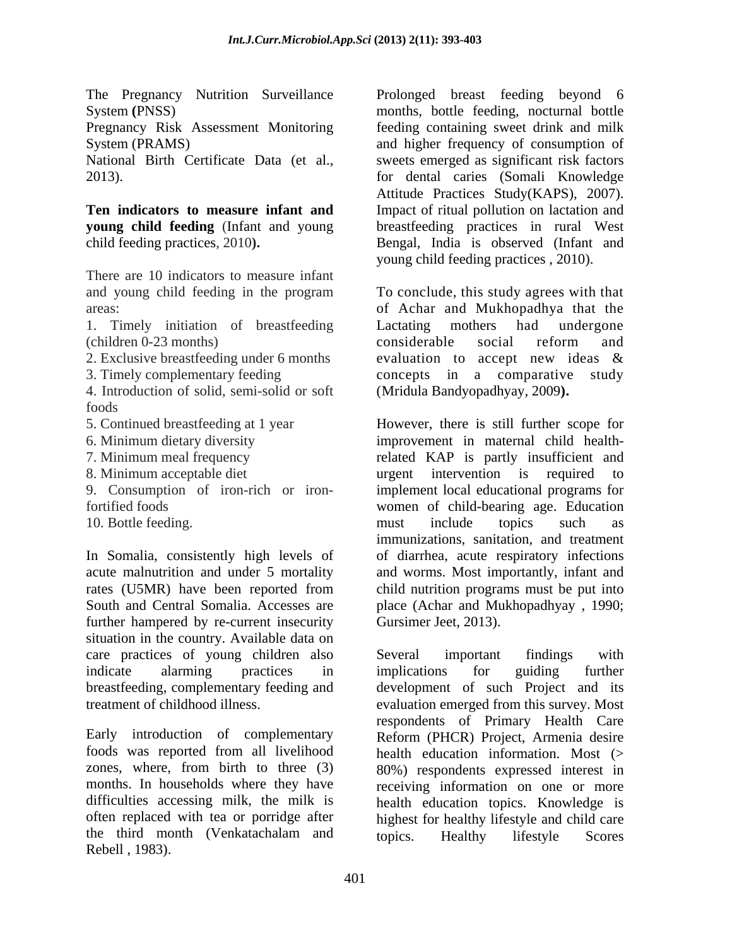**young child feeding** (Infant and young

There are 10 indicators to measure infant

1. Timely initiation of breastfeeding Lactating mothers had undergone (children 0-23 months)

4. Introduction of solid, semi-solid or soft foods

In Somalia, consistently high levels of further hampered by re-current insecurity situation in the country. Available data on care practices of young children also Several important findings with indicate alarming practices in implications for guiding further breastfeeding, complementary feeding and development of such Project and its treatment of childhood illness. evaluation emerged from this survey. Most

Early introduction of complementary Reform (PHCR) Project. Armenia desire foods was reported from all livelihood health education information. Most (> zones, where, from birth to three (3) 80%) respondents expressed interest in months. In households where they have receiving information on one or more difficulties accessing milk, the milk is health education topics. Knowledge is often replaced with tea or porridge after highest for healthy lifestyle and child care the third month (Venkatachalam and topics. Healthy lifestyle Scores Rebell , 1983).

The Pregnancy Nutrition Surveillance Prolonged breast feeding beyond 6 System **(**PNSS) months, bottle feeding, nocturnal bottle Pregnancy Risk Assessment Monitoring feeding containing sweet drink and milk System (PRAMS) and higher frequency of consumption of National Birth Certificate Data (et al., sweets emerged as significant risk factors 2013). for dental caries (Somali Knowledge **Ten indicators to measure infant and** Impact of ritual pollution on lactation and child feeding practices, 2010**).**  Bengal, India is observed (Infant and Attitude Practices Study(KAPS), 2007). breastfeeding practices in rural West young child feeding practices , 2010).

and young child feeding in the program To conclude, this study agrees with that areas: of Achar and Mukhopadhya that the 2. Exclusive breastfeeding under 6 months evaluation to accept new ideas  $\&$ 3. Timely complementary feeding concepts in a comparative study Lactating mothers had undergone considerable social reform and evaluation to accept new ideas & (Mridula Bandyopadhyay, 2009**).**

5. Continued breastfeeding at 1 year However, there is still further scope for 6. Minimum dietary diversity improvement in maternal child health-7. Minimum meal frequency related KAP is partly insufficient and 8. Minimum acceptable diet urgent intervention is required to 9. Consumption of iron-rich or iron-implement local educational programs for fortified foods women of child-bearing age. Education 10. Bottle feeding. The must computer include topics such as acute malnutrition and under 5 mortality and worms. Most importantly, infant and rates (U5MR) have been reported from child nutrition programs must be put into South and Central Somalia. Accesses are place (Achar and Mukhopadhyay , 1990; must include topics such as immunizations, sanitation, and treatment of diarrhea, acute respiratory infections Gursimer Jeet, 2013).

> Several important findings with implications for guiding further respondents of Primary Health Care Reform (PHCR) Project, Armenia desire topics. Healthy lifestyle Scores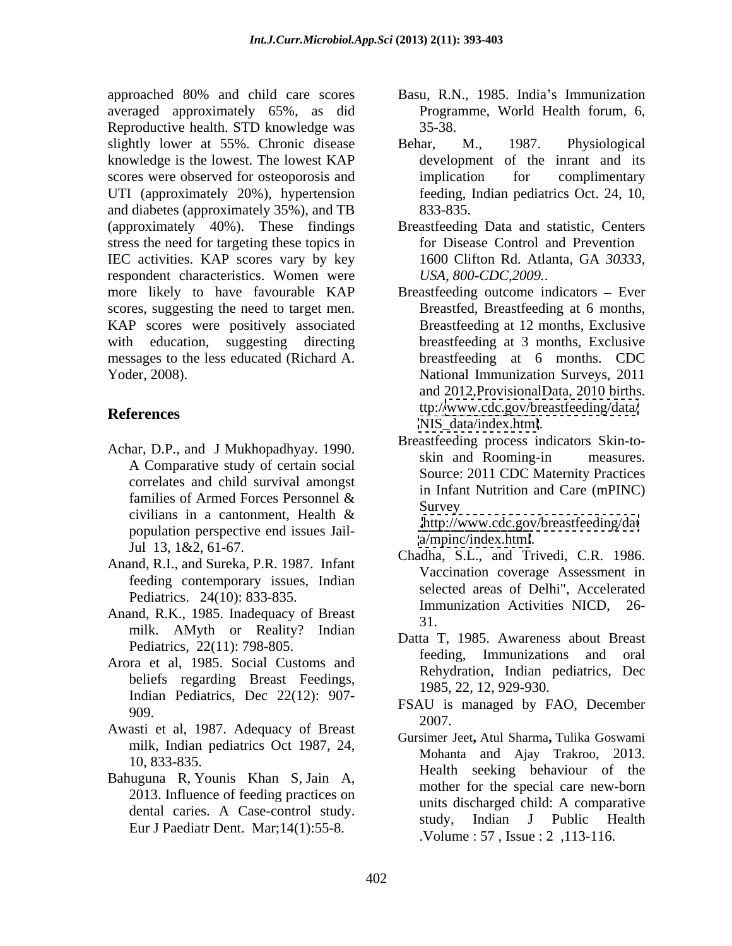approached 80% and child care scores Basu, R.N., 1985. India's Immunization averaged approximately 65%, as did Reproductive health. STD knowledge was 35-38. slightly lower at 55%. Chronic disease Behar, M., 1987. Physiological knowledge is the lowest. The lowest KAP scores were observed for osteoporosis and implication for complimentary UTI (approximately 20%), hypertension and diabetes (approximately 35%), and TB (approximately 40%). These findings stress the need for targeting these topics in IEC activities. KAP scores vary by key 1600 Clifton Rd. Atlanta, GA 30333, respondent characteristics. Women were more likely to have favourable KAP Breastfeeding outcome indicators – Ever scores, suggesting the need to target men. KAP scores were positively associated with education, suggesting directing messages to the less educated (Richard A.

- Achar, D.P., and J Mukhopadhyay. 1990. Breastroung process marches SKIN-to-A Comparative study of certain social correlates and child survival amongst civilians in a cantonment, Health  $\&$  butto  $\frac{\partial u}{\partial y}$  are threastfording date population perspective end issues Jail-
- Anand, R.I., and Sureka, P.R. 1987. Infant feeding contemporary issues, Indian Pediatrics. 24(10): 833-835.
- Anand, R.K., 1985. Inadequacy of Breast and  $\frac{1}{31}$ milk. AMyth or Reality? Indian Pediatrics, 22(11): 798-805.
- Arora et al, 1985. Social Customs and beliefs regarding Breast Feedings, Indian Pediatrics, Dec 22(12): 907-
- Awasti et al, 1987. Adequacy of Breast  $\frac{2007}{9}$ . milk, Indian pediatrics Oct 1987, 24,
- Eur J Paediatr Dent. Mar;14(1):55-8.
- Programme, World Health forum, 6, 35-38.
- Behar, M., 1987. Physiological development of the inrant and its implication for complimentary feeding, Indian pediatrics Oct. 24, 10, 833-835.
- Breastfeeding Data and statistic, Centers for Disease Control and Prevention 1600 Clifton Rd. Atlanta, GA *30333, USA, 800-CDC,2009.*.
- Yoder, 2008). National Immunization Surveys, 2011 **References** up://www.cdc.gov/breasueeding/data/ Breastfed, Breastfeeding at 6 months, Breastfeeding at 12 months, Exclusive breastfeeding at 3 months, Exclusive breastfeeding at 6 months. CDC and 2012,ProvisionalData, 2010 births. ttp:/[/www.cdc.gov/breastfeeding/data/](http://www.cdc.gov/breastfeeding/data/) NIS data/index.html.
	- families of Armed Forces Personnel  $\&$   $\qquad \qquad \text{Equation (in five)}$ Breastfeeding process indicators Skin-to skin and Rooming-in measures. Source: 2011 CDC Maternity Practices in Infant Nutrition and Care (mPINC) Survey and the state of the state of the state of the state of the state of the state of the state of the state of the state of the state of the state of the state of the state of the state of the state of the state of the

[.http://www.cdc.gov/breastfeeding/dat](http://www.cdc.gov/breastfeeding/dat) <a/mpinc/index.html>.

- Jul 13, 1&2, 61-67. Chadha, S.L., and Trivedi, C.R. 1986. Vaccination coverage Assessment in selected areas of Delhi", Accelerated Immunization Activities NICD, 26- 31.
	- Datta T, 1985. Awareness about Breast feeding, Immunizations and oral Rehydration, Indian pediatrics, Dec 1985, 22, 12, 929-930.
- $\frac{1500}{15}$  managed by TAO, December 1999. FSAU is managed by FAO, December 2007.
- 10, 833-835.<br>
Health seeking behaviour of the Bahuguna R, Younis Khan S, Jain A,<br>
2013. Influence of feeding practices on white discharged child: A comparative 2015. Inhuence of reeding practices on<br>dental caries. A Case-control study. In units discharged child: A comparative<br>study. Indian J Public Health Gursimer Jeet**,** Atul Sharma**,** Tulika Goswami Mohanta and Ajay Trakroo, 2013. mother for the special care new-born units discharged child: A comparative study, Indian J Public Health .Volume : 57 , Issue : 2 ,113-116.